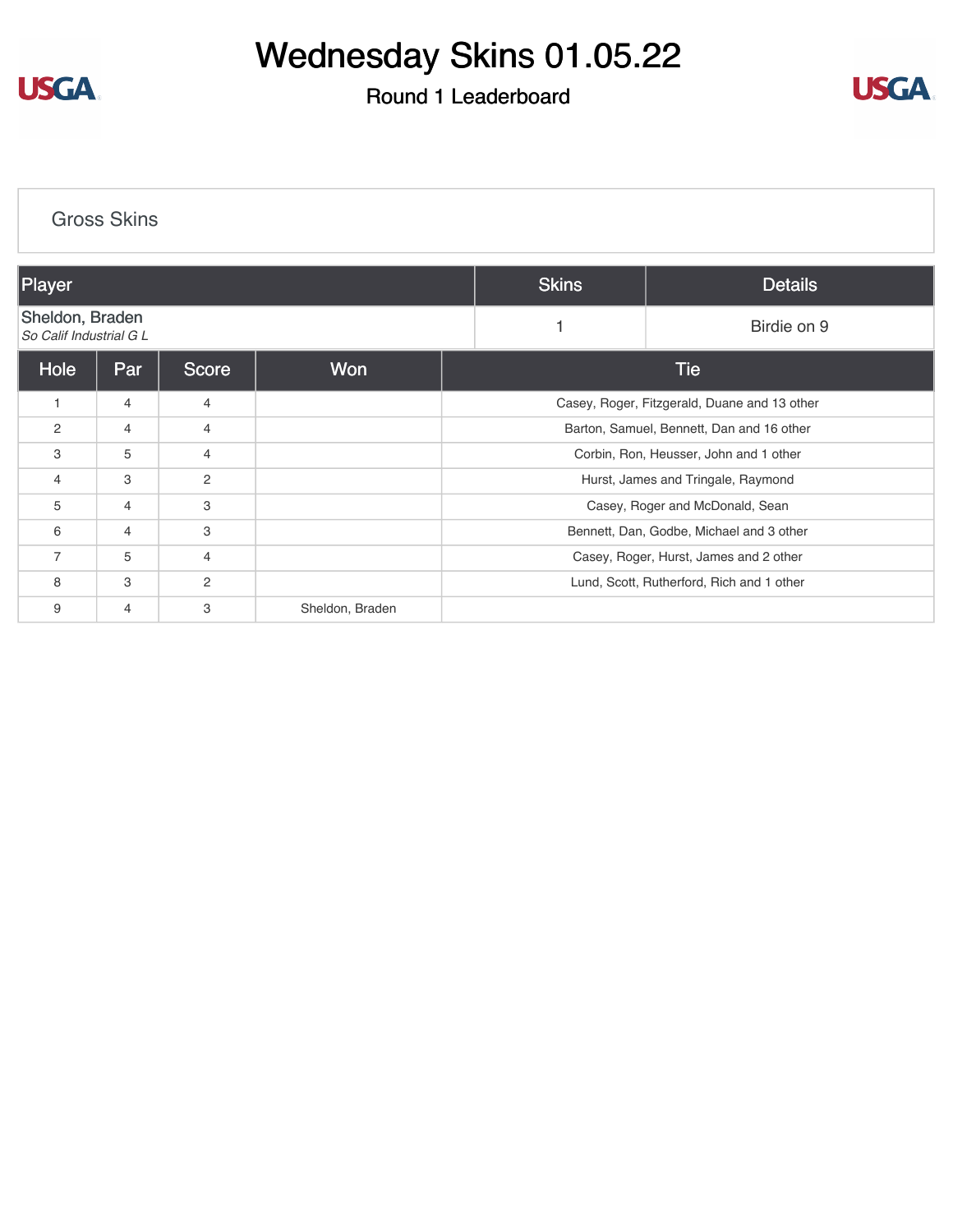

## Wednesday Skins 01.05.22

## Round 1 Leaderboard



| <b>Gross Skins</b>                         |                |                |                 |                                          |                                              |  |  |  |  |  |  |
|--------------------------------------------|----------------|----------------|-----------------|------------------------------------------|----------------------------------------------|--|--|--|--|--|--|
| Player                                     |                |                |                 | <b>Skins</b>                             | <b>Details</b>                               |  |  |  |  |  |  |
| Sheldon, Braden<br>So Calif Industrial G L |                |                |                 |                                          | Birdie on 9                                  |  |  |  |  |  |  |
| Hole                                       | Par            | <b>Score</b>   | <b>Won</b>      |                                          | <b>Tie</b>                                   |  |  |  |  |  |  |
| 1                                          | $\overline{4}$ | $\overline{4}$ |                 |                                          | Casey, Roger, Fitzgerald, Duane and 13 other |  |  |  |  |  |  |
| $\mathbf{2}$                               | $\overline{4}$ | $\overline{4}$ |                 |                                          | Barton, Samuel, Bennett, Dan and 16 other    |  |  |  |  |  |  |
| 3                                          | 5              | 4              |                 |                                          | Corbin, Ron, Heusser, John and 1 other       |  |  |  |  |  |  |
| 4                                          | 3              | 2              |                 |                                          | Hurst, James and Tringale, Raymond           |  |  |  |  |  |  |
| 5                                          | $\overline{4}$ | 3              |                 |                                          | Casey, Roger and McDonald, Sean              |  |  |  |  |  |  |
| 6                                          | $\overline{4}$ | 3              |                 | Bennett, Dan, Godbe, Michael and 3 other |                                              |  |  |  |  |  |  |
| $\overline{7}$                             | 5              | $\overline{4}$ |                 | Casey, Roger, Hurst, James and 2 other   |                                              |  |  |  |  |  |  |
| 8                                          | 3              | 2              |                 |                                          | Lund, Scott, Rutherford, Rich and 1 other    |  |  |  |  |  |  |
| 9                                          | $\overline{4}$ | 3              | Sheldon, Braden |                                          |                                              |  |  |  |  |  |  |